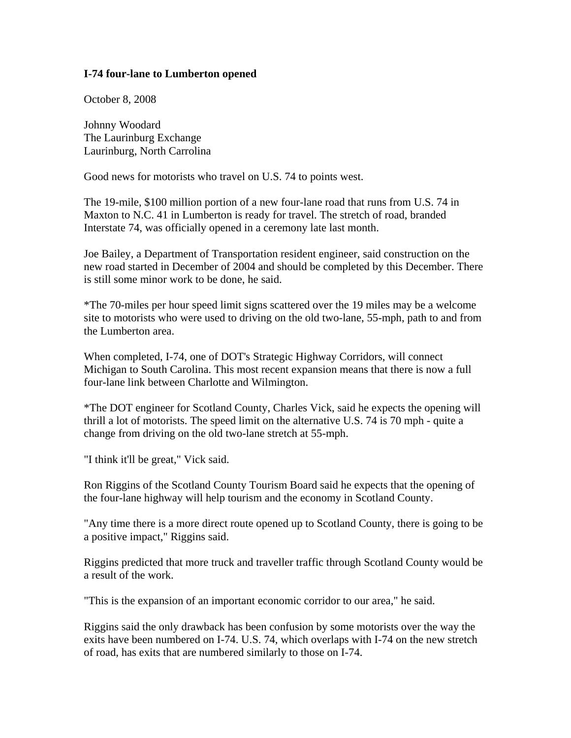## **I-74 four-lane to Lumberton opened**

October 8, 2008

Johnny Woodard The Laurinburg Exchange Laurinburg, North Carrolina

Good news for motorists who travel on U.S. 74 to points west.

The 19-mile, \$100 million portion of a new four-lane road that runs from U.S. 74 in Maxton to N.C. 41 in Lumberton is ready for travel. The stretch of road, branded Interstate 74, was officially opened in a ceremony late last month.

Joe Bailey, a Department of Transportation resident engineer, said construction on the new road started in December of 2004 and should be completed by this December. There is still some minor work to be done, he said.

\*The 70-miles per hour speed limit signs scattered over the 19 miles may be a welcome site to motorists who were used to driving on the old two-lane, 55-mph, path to and from the Lumberton area.

When completed, I-74, one of DOT's Strategic Highway Corridors, will connect Michigan to South Carolina. This most recent expansion means that there is now a full four-lane link between Charlotte and Wilmington.

\*The DOT engineer for Scotland County, Charles Vick, said he expects the opening will thrill a lot of motorists. The speed limit on the alternative U.S. 74 is 70 mph - quite a change from driving on the old two-lane stretch at 55-mph.

"I think it'll be great," Vick said.

Ron Riggins of the Scotland County Tourism Board said he expects that the opening of the four-lane highway will help tourism and the economy in Scotland County.

"Any time there is a more direct route opened up to Scotland County, there is going to be a positive impact," Riggins said.

Riggins predicted that more truck and traveller traffic through Scotland County would be a result of the work.

"This is the expansion of an important economic corridor to our area," he said.

Riggins said the only drawback has been confusion by some motorists over the way the exits have been numbered on I-74. U.S. 74, which overlaps with I-74 on the new stretch of road, has exits that are numbered similarly to those on I-74.